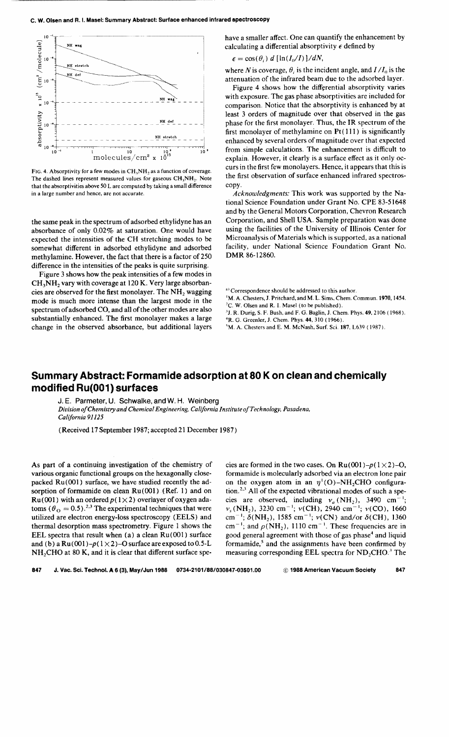## c. W. Olsen and R. I. Masel: Summary Abstract: Surface enhanced infrared spectroscopy



FIG. 4. Absorptivity for a few modes in CH<sub>3</sub>NH<sub>2</sub> as a function of coverage. The dashed lines represent measured values for gaseous  $CH<sub>3</sub>NH<sub>2</sub>$ . Note that the absorptivities above 50 L are computed by taking a small difference in a large number and hence, are not accurate.

the same peak in the spectrum of adsorbed ethylidyne has an absorbance of only 0.02% at saturation. One would have expected the intensities of the CH stretching modes to be somewhat different in adsorbed ethylidyne and adsorbed methylamine. However, the fact that there is a factor of 250 difference in the intensities of the peaks is quite surprising.

Figure 3 shows how the peak intensities of a few modes in  $CH<sub>3</sub>NH<sub>2</sub>$  vary with coverage at 120 K. Very large absorbancies are observed for the first monolayer. The  $NH<sub>2</sub>$  wagging mode is much more intense than the largest mode in the spectrum of adsorbed CO, and all of the other modes are also substantially enhanced. The first monolayer makes a large change in the observed absorbance, but additional layers have a smaller affect. One can quantify the enhancement by calculating a differential absorptivity  $\epsilon$  defined by

$$
\epsilon = \cos(\theta_i) \ d \left[ \ln(I_0/I) \right] / dN,
$$

where *N* is coverage,  $\theta_i$  is the incident angle, and  $I/I_0$  is the attenuation of the infrared beam due to the adsorbed layer.

Figure 4 shows how the differential absorptivity varies with exposure. The gas phase absorptivities are included for comparison. Notice that the absorptivity is enhanced by at least 3 orders of magnitude over that observed in the gas phase for the first monolayer. Thus, the IR spectrum of the first monolayer of methylamine on Pt( Ill) is significantly enhanced by several orders of magnitude over that expected from simple calculations. The enhancement is difficult to explain. However, it clearly is a surface effect as it only occurs in the first few monolayers. Hence, it appears that this is the first observation of surface enhanced infrared spectroscopy.

*Acknowledgments:* This work was supported by the National Science Foundation under Grant No. CPE 83-51648 and by the General Motors Corporation, Chevron Research Corporation, and Shell USA. Sample preparation was done using the facilities of the University of Illinois Center for Microanalysis of Materials which is supported, as a national facility, under National Science Foundation Grant No. DMR 86-12860.

<sup>a)</sup> Correspondence should be addressed to this author.

- M. A. Chesters, J. Pritchard, and M. L. Sims, Chern. Commun. 1970, 1454. 'C. W. Olsen and R.I. Masel (to be published).
- <sup>3</sup>J. R. Durig, S. F. Bush, and F. G. Baglin, J. Chem. Phys. **49**, 2106 ( 1968). <sup>4</sup>R. G. Greenler, J. Chem. Phys. **44**, 310 ( 1966).
- 'M.A. Chesters and E. M. McNash, Surf. Sci. 187, L639 ( 1987).
- 

## **Summary Abstract: Formamide adsorption at 80 K on clean and chemically modified Ru(001) surfaces**

J. E. Parmeter, U. Schwalke, and W. H. Weinberg

*Division of Chemistry and Chemical Engineering, California Institute ofTechnology, Pasadena. California 91125* 

(Received 17 September 1987; accepted 21 December 1987)

As part of a continuing investigation of the chemistry of various organic functional groups on the hexagonally closepacked Ru(001) surface, we have studied recently the adsorption of formamide on clean  $Ru(001)$  (Ref. 1) and on Ru(001) with an ordered  $p(1 \times 2)$  overlayer of oxygen adatoms  $(\theta_{\rm O} = 0.5)$ .<sup>2,3</sup> The experimental techniques that were utilized are electron energy-loss spectroscopy (EELS) and thermal desorption mass spectrometry. Figure 1 shows the EEL spectra that result when (a) a clean Ru(OOI) surface and (b) a  $Ru(001) - p(1 \times 2) - O$  surface are exposed to 0.5-L NH<sub>2</sub>CHO at 80 K, and it is clear that different surface spe-

cies are formed in the two cases. On  $Ru(001) - p(1 \times 2) - 0$ , formamide is molecularly adsorbed via an electron lone pair on the oxygen atom in an  $\eta^{\dagger}$ (O)–NH<sub>2</sub>CHO configuration.<sup>2,3</sup> All of the expected vibrational modes of such a species are observed, including  $v_a$  (NH<sub>2</sub>), 3490 cm<sup>-1</sup>;<br> $v_s$ (NH<sub>2</sub>), 3230 cm<sup>-1</sup>;  $v$ (CH), 2940 cm<sup>-1</sup>;  $v$ (CO), 1660 cm<sup>-1</sup>;  $\delta(NH_2)$ , 1585 cm<sup>-1</sup>;  $\nu(CN)$  and/or  $\delta(CH)$ , 1360 cm<sup>-1</sup>; and  $\rho(NH_2)$ , 1110 cm<sup>-1</sup>. These frequencies are in good general agreement with those of gas phase<sup>4</sup> and liquid formamide, $5$  and the assignments have been confirmed by measuring corresponding EEL spectra for  $ND_2CHO$ .<sup>3</sup> The

847 J. Vac. Sci. Techno!. **A** 6 (3), May/Jun 1988 0734-2101/88/030847-03S01.00 © 1988 American Vacuum Society 847